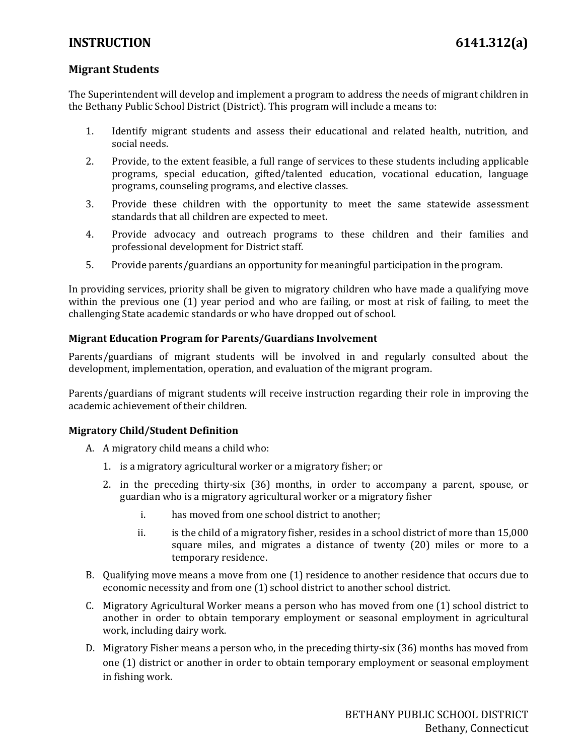## **INSTRUCTION 6141.312(a)**

### **Migrant Students**

The Superintendent will develop and implement a program to address the needs of migrant children in the Bethany Public School District (District). This program will include a means to:

- 1. Identify migrant students and assess their educational and related health, nutrition, and social needs.
- 2. Provide, to the extent feasible, a full range of services to these students including applicable programs, special education, gifted/talented education, vocational education, language programs, counseling programs, and elective classes.
- 3. Provide these children with the opportunity to meet the same statewide assessment standards that all children are expected to meet.
- 4. Provide advocacy and outreach programs to these children and their families and professional development for District staff.
- 5. Provide parents/guardians an opportunity for meaningful participation in the program.

In providing services, priority shall be given to migratory children who have made a qualifying move within the previous one (1) year period and who are failing, or most at risk of failing, to meet the challenging State academic standards or who have dropped out of school.

#### **Migrant Education Program for Parents/Guardians Involvement**

Parents/guardians of migrant students will be involved in and regularly consulted about the development, implementation, operation, and evaluation of the migrant program.

Parents/guardians of migrant students will receive instruction regarding their role in improving the academic achievement of their children.

#### **Migratory Child/Student Definition**

- A. A migratory child means a child who:
	- 1. is a migratory agricultural worker or a migratory fisher; or
	- 2. in the preceding thirty-six (36) months, in order to accompany a parent, spouse, or guardian who is a migratory agricultural worker or a migratory fisher
		- i. has moved from one school district to another;
		- ii. is the child of a migratory fisher, resides in a school district of more than 15,000 square miles, and migrates a distance of twenty (20) miles or more to a temporary residence.
- B. Qualifying move means a move from one (1) residence to another residence that occurs due to economic necessity and from one (1) school district to another school district.
- C. Migratory Agricultural Worker means a person who has moved from one (1) school district to another in order to obtain temporary employment or seasonal employment in agricultural work, including dairy work.
- D. Migratory Fisher means a person who, in the preceding thirty-six (36) months has moved from one (1) district or another in order to obtain temporary employment or seasonal employment in fishing work.